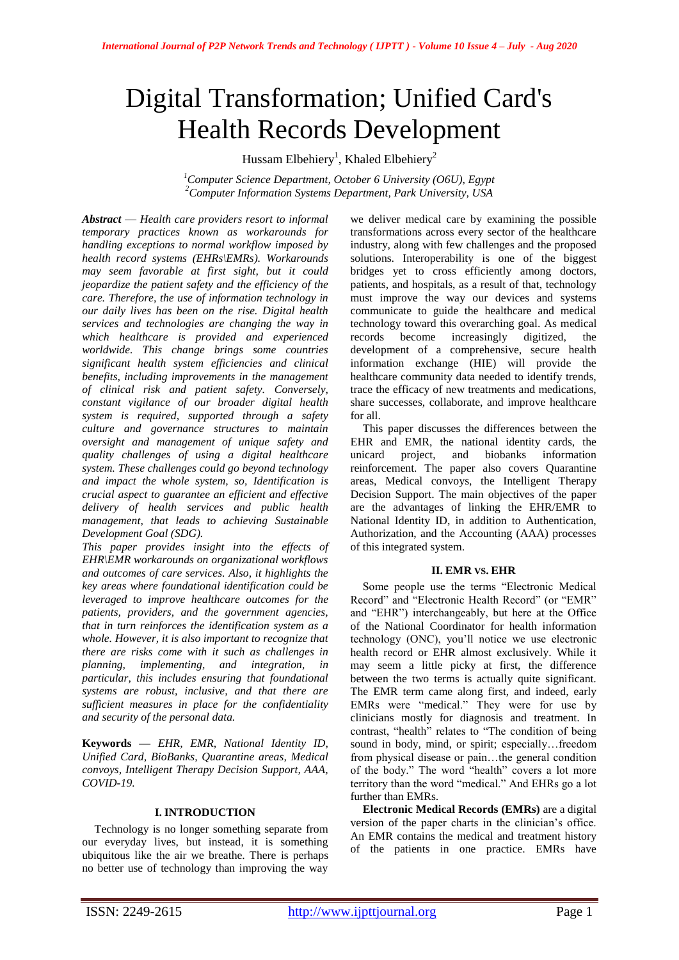# Digital Transformation; Unified Card's Health Records Development

Hussam Elbehiery<sup>1</sup>, Khaled Elbehiery<sup>2</sup>

*<sup>1</sup>Computer Science Department, October 6 University (O6U), Egypt <sup>2</sup>Computer Information Systems Department, Park University, USA*

*Abstract* — *Health care providers resort to informal temporary practices known as workarounds for handling exceptions to normal workflow imposed by health record systems (EHRs\EMRs). Workarounds may seem favorable at first sight, but it could jeopardize the patient safety and the efficiency of the care. Therefore, the use of information technology in our daily lives has been on the rise. Digital health services and technologies are changing the way in which healthcare is provided and experienced worldwide. This change brings some countries significant health system efficiencies and clinical benefits, including improvements in the management of clinical risk and patient safety. Conversely, constant vigilance of our broader digital health system is required, supported through a safety culture and governance structures to maintain oversight and management of unique safety and quality challenges of using a digital healthcare system. These challenges could go beyond technology and impact the whole system, so, Identification is crucial aspect to guarantee an efficient and effective delivery of health services and public health management, that leads to achieving Sustainable Development Goal (SDG).*

*This paper provides insight into the effects of EHR\EMR workarounds on organizational workflows and outcomes of care services. Also, it highlights the key areas where foundational identification could be leveraged to improve healthcare outcomes for the patients, providers, and the government agencies, that in turn reinforces the identification system as a whole. However, it is also important to recognize that there are risks come with it such as challenges in planning, implementing, and integration, in particular, this includes ensuring that foundational systems are robust, inclusive, and that there are sufficient measures in place for the confidentiality and security of the personal data.*

**Keywords** *— EHR, EMR, National Identity ID, Unified Card, BioBanks, Quarantine areas, Medical convoys, Intelligent Therapy Decision Support, AAA, COVID-19.*

#### **I. INTRODUCTION**

Technology is no longer something separate from our everyday lives, but instead, it is something ubiquitous like the air we breathe. There is perhaps no better use of technology than improving the way

we deliver medical care by examining the possible transformations across every sector of the healthcare industry, along with few challenges and the proposed solutions. Interoperability is one of the biggest bridges yet to cross efficiently among doctors, patients, and hospitals, as a result of that, technology must improve the way our devices and systems communicate to guide the healthcare and medical technology toward this overarching goal. As medical records become increasingly digitized, the development of a comprehensive, secure health information exchange (HIE) will provide the healthcare community data needed to identify trends, trace the efficacy of new treatments and medications, share successes, collaborate, and improve healthcare for all.

This paper discusses the differences between the EHR and EMR, the national identity cards, the unicard project, and biobanks information reinforcement. The paper also covers Quarantine areas, Medical convoys, the Intelligent Therapy Decision Support. The main objectives of the paper are the advantages of linking the EHR/EMR to National Identity ID, in addition to Authentication, Authorization, and the Accounting (AAA) processes of this integrated system.

## **II. EMR VS. EHR**

Some people use the terms "Electronic Medical Record" and "Electronic Health Record" (or "EMR" and "EHR") interchangeably, but here at the Office of the National Coordinator for health information technology (ONC), you'll notice we use electronic health record or EHR almost exclusively. While it may seem a little picky at first, the difference between the two terms is actually quite significant. The EMR term came along first, and indeed, early EMRs were ["medical.](http://www.merriam-webster.com/dictionary/medical)" They were for use by clinicians mostly for diagnosis and treatment. In contrast, ["health"](http://www.merriam-webster.com/dictionary/health) relates to "The condition of being sound in body, mind, or spirit; especially...freedom from physical disease or pain…the general condition of the body." The word "health" covers a lot more territory than the word "medical." And EHRs go a lot further than EMRs.

**Electronic Medical Records (EMRs)** are a digital version of the paper charts in the clinician's office. An EMR contains the medical and treatment history of the patients in one practice. EMRs have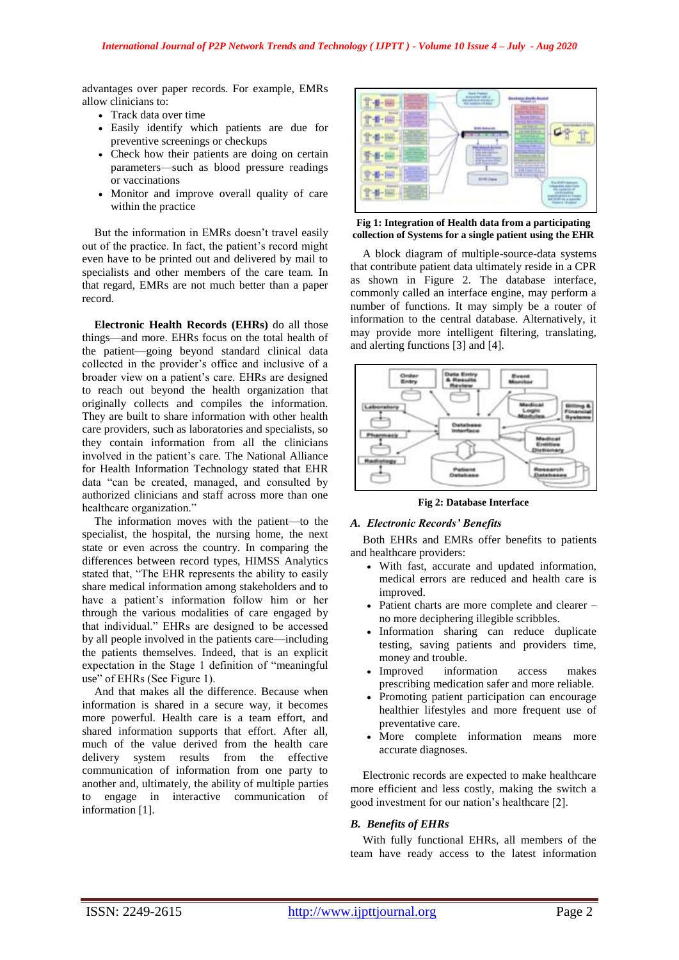advantages over paper records. For example, EMRs allow clinicians to:

- Track data over time
- Easily identify which patients are due for preventive screenings or checkups
- Check how their patients are doing on certain parameters—such as blood pressure readings or vaccinations
- Monitor and improve overall quality of care within the practice

But the information in EMRs doesn't travel easily out of the practice. In fact, the patient's record might even have to be printed out and delivered by mail to specialists and other members of the care team. In that regard, EMRs are not much better than a paper record.

**Electronic Health Records (EHRs)** do all those things—and more. EHRs focus on the total health of the patient—going beyond standard clinical data collected in the provider's office and inclusive of a broader view on a patient's care. EHRs are designed to reach out beyond the health organization that originally collects and compiles the information. They are built to share information with other health care providers, such as laboratories and specialists, so they contain information from all the clinicians involved in the patient's care. The National Alliance for Health Information Technology stated that EHR data "can be created, managed, and consulted by authorized clinicians and staff across more than one healthcare organization."

The information moves with the patient—to the specialist, the hospital, the nursing home, the next state or even across the country. In comparing the differences between record types, HIMSS Analytics stated that, "The EHR represents the ability to easily share medical information among stakeholders and to have a patient's information follow him or her through the various modalities of care engaged by that individual." EHRs are designed to be accessed by all people involved in the patients care—including the patients themselves. Indeed, that is an explicit expectation in the Stage 1 definition of ["meaningful](http://healthit.hhs.gov/meaningfuluse)  [use"](http://healthit.hhs.gov/meaningfuluse) of EHRs (See Figure 1).

And that makes all the difference. Because when information is shared in a secure way, it becomes more powerful. Health care is a team effort, and shared information supports that effort. After all, much of the value derived from the health care delivery system results from the effective communication of information from one party to another and, ultimately, the ability of multiple parties to engage in interactive communication of information [1].



**Fig 1: Integration of Health data from a participating collection of Systems for a single patient using the EHR**

A block diagram of multiple-source-data systems that contribute patient data ultimately reside in a CPR as shown in Figure 2. The database interface, commonly called an interface engine, may perform a number of functions. It may simply be a router of information to the central database. Alternatively, it may provide more intelligent filtering, translating, and alerting functions [3] and [4].



**Fig 2: Database Interface**

#### *A. Electronic Records' Benefits*

Both EHRs and EMRs [offer benefits](https://www.usfhealthonline.com/resources/healthcare/benefits-of-ehr/) to patients and healthcare providers:

- With fast, accurate and updated information, medical errors are reduced and health care is improved.
- Patient charts are more complete and clearer no more deciphering illegible scribbles.
- Information sharing can reduce duplicate testing, saving patients and providers time, money and trouble.
- Improved information access makes prescribing medication safer and more reliable.
- Promoting patient participation can encourage healthier lifestyles and more frequent use of preventative care.
- More complete information means more accurate diagnoses.

Electronic records are expected to make healthcare more efficient and less costly, making the switch a good investment for our nation's healthcare [2].

#### *B. Benefits of EHRs*

With fully functional EHRs, all members of the team have ready access to the latest information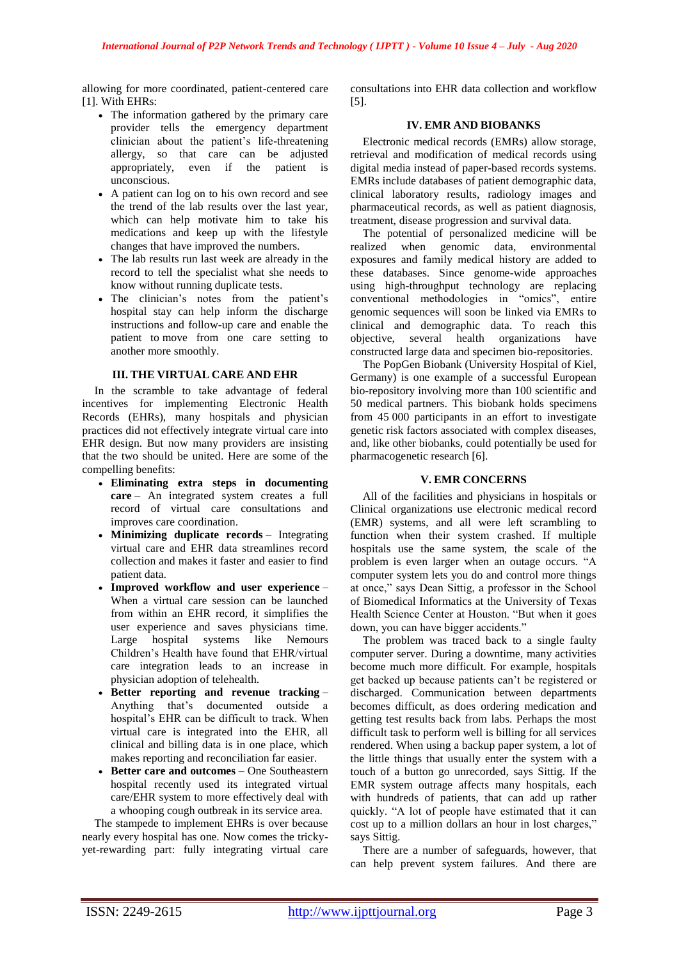allowing for more coordinated, patient-centered care [1]. With EHRs:

- The information gathered by the primary care provider tells the emergency department clinician about the patient's life-threatening allergy, so that care can be adjusted appropriately, even if the patient is unconscious.
- A patient can log on to his own record and see the trend of the lab results over the last year, which can help motivate him to take his medications and keep up with the lifestyle changes that have improved the numbers.
- The lab results run last week are already in the record to tell the specialist what she needs to know without running duplicate tests.
- The clinician's notes from the patient's hospital stay can help inform the discharge instructions and follow-up care and enable the patient to move from one care setting to another more smoothly.

## **III. THE VIRTUAL CARE AND EHR**

In the scramble to take advantage of federal incentives for implementing Electronic Health Records (EHRs), many hospitals and physician practices did not effectively integrate virtual care into EHR design. But now many providers are insisting that the two should be united. Here are some of the compelling benefits:

- **Eliminating extra steps in documenting care** – An integrated system creates a full record of virtual care consultations and improves care coordination.
- **Minimizing duplicate records** Integrating virtual care and EHR data streamlines record collection and makes it faster and easier to find patient data.
- **Improved workflow and user experience** When a virtual care session can be launched from within an EHR record, it simplifies the user experience and saves physicians time. Large hospital systems like Nemours Children's Health have found that EHR/virtual care integration leads to an increase in physician adoption of telehealth.
- **Better reporting and revenue tracking** Anything that's documented outside a hospital's EHR can be difficult to track. When virtual care is integrated into the EHR, all clinical and billing data is in one place, which makes reporting and reconciliation far easier.
- **Better care and outcomes** One Southeastern hospital recently used its integrated virtual care/EHR system to more effectively deal with a whooping cough outbreak in its service area.

The stampede to implement EHRs is over because nearly every hospital has one. Now comes the trickyyet-rewarding part: fully integrating virtual care

consultations into EHR data collection and workflow [5].

# **IV. EMR AND BIOBANKS**

Electronic medical records (EMRs) allow storage, retrieval and modification of medical records using digital media instead of paper-based records systems. EMRs include databases of patient demographic data, clinical laboratory results, radiology images and pharmaceutical records, as well as patient diagnosis, treatment, [disease progression](https://www.sciencedirect.com/topics/pharmacology-toxicology-and-pharmaceutical-science/disease-exacerbation) and survival data.

The potential of personalized medicine will be realized when genomic data, environmental exposures and family medical history are added to these databases. Since genome-wide approaches using high-throughput technology are replacing conventional methodologies in "omics", entire genomic sequences will soon be linked via EMRs to clinical and demographic data. To reach this objective, several health organizations have constructed large data and specimen bio-repositories.

The PopGen Biobank (University Hospital of Kiel, Germany) is one example of a successful European bio-repository involving more than 100 scientific and 50 medical partners. This biobank holds specimens from 45 000 participants in an effort to investigate genetic risk factors associated with complex diseases, and, like other biobanks, could potentially be used for pharmacogenetic research [6].

# **V. EMR CONCERNS**

All of the facilities and physicians in hospitals or Clinical organizations use electronic medical record (EMR) systems, and all were left scrambling to function when their system crashed. If multiple hospitals use the same system, the scale of the problem is even larger when an outage occurs. "A computer system lets you do and control more things at once," says Dean Sittig, a professor in the School of Biomedical Informatics at the University of Texas Health Science Center at Houston. "But when it goes down, you can have bigger accidents."

The problem was traced back to a single faulty computer server. During a downtime, many activities become much more difficult. For example, hospitals get backed up because patients can't be registered or discharged. Communication between departments becomes difficult, as does ordering medication and getting test results back from labs. Perhaps the most difficult task to perform well is billing for all services rendered. When using a backup paper system, a lot of the little things that usually enter the system with a touch of a button go unrecorded, says Sittig. If the EMR system outrage affects many hospitals, each with hundreds of patients, that can add up rather quickly. "A lot of people have estimated that it can cost up to a million dollars an hour in lost charges," says Sittig.

There are a number of safeguards, however, that can help prevent system failures. And there are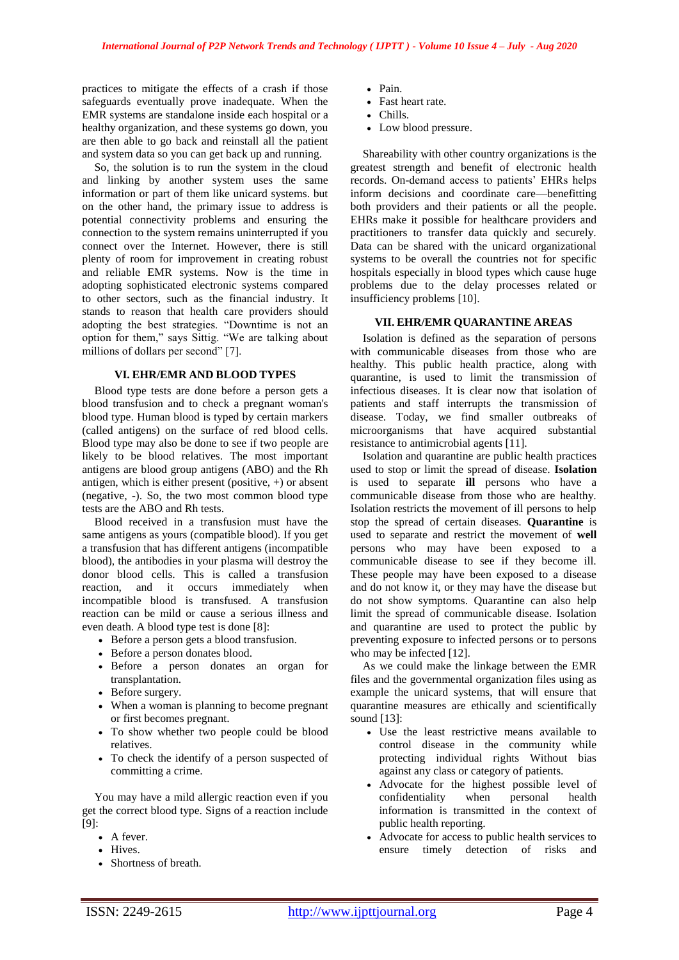practices to mitigate the effects of a crash if those safeguards eventually prove inadequate. When the EMR systems are standalone inside each hospital or a healthy organization, and these systems go down, you are then able to go back and reinstall all the patient and system data so you can get back up and running.

So, the solution is to run the system in the cloud and linking by another system uses the same information or part of them like unicard systems. but on the other hand, the primary issue to address is potential connectivity problems and ensuring the connection to the system remains uninterrupted if you connect over the Internet. However, there is still plenty of room for improvement in creating robust and reliable EMR systems. Now is the time in adopting sophisticated electronic systems compared to other sectors, such as the financial industry. It stands to reason that health care providers should adopting the best strategies. "Downtime is not an option for them," says Sittig. "We are talking about millions of dollars per second" [7].

#### **VI. EHR/EMR AND BLOOD TYPES**

Blood type tests are done before a person gets a blood transfusion and to check a pregnant woman's blood type. Human blood is typed by certain markers (called [antigens\)](https://www.medicalrecords.com/health-a-to-z/antigen-definition) on the surface of red blood cells. Blood type may also be done to see if two people are likely to be blood relatives. The most important antigens are blood group antigens (ABO) and the Rh antigen, which is either present (positive, +) or absent (negative, -). So, the two most common blood type tests are the ABO and Rh tests.

Blood received in a transfusion must have the same antigens as yours (compatible blood). If you get a transfusion that has different antigens (incompatible blood), the antibodies in your plasma will destroy the donor blood cells. This is called a transfusion reaction, and it occurs immediately when incompatible blood is transfused. A transfusion reaction can be mild or cause a serious illness and even death. A blood type test is done [8]:

- Before a person gets a blood transfusion.
- Before a person donates blood.
- Before a person donates an organ for transplantation.
- Before surgery.
- When a woman is planning to become pregnant or first becomes pregnant.
- To show whether two people could be blood relatives.
- To check the identify of a person suspected of committing a crime.

You may have a mild allergic reaction even if you get the correct blood type. Signs of a reaction include [9]:

- A fever.
- Hives.
- Shortness of breath.
- Pain.
- Fast heart rate.
- Chills.
- Low blood pressure.

Shareability with other country organizations is the greatest strength and benefit of electronic health records. On-demand access to patients' EHRs helps inform decisions and coordinate care—benefitting both providers and their patients or all the people. EHRs make it possible for healthcare providers and practitioners to transfer data quickly and securely. Data can be shared with the unicard organizational systems to be overall the countries not for specific hospitals especially in blood types which cause huge problems due to the delay processes related or insufficiency problems [10].

#### **VII. EHR/EMR QUARANTINE AREAS**

Isolation is defined as the separation of persons with communicable diseases from those who are healthy. This public health practice, along with quarantine, is used to limit the transmission of infectious diseases. It is clear now that isolation of patients and staff interrupts the transmission of disease. Today, we find smaller outbreaks of microorganisms that have acquired substantial resistance to antimicrobial agents [11].

Isolation and quarantine are public health practices used to stop or limit the spread of disease. **Isolation** is used to separate **ill** persons who have a communicable disease from those who are healthy. Isolation restricts the movement of ill persons to help stop the spread of certain diseases. **Quarantine** is used to separate and restrict the movement of **well** persons who may have been exposed to a communicable disease to see if they become ill. These people may have been exposed to a disease and do not know it, or they may have the disease but do not show symptoms. Quarantine can also help limit the spread of communicable disease. Isolation and quarantine are used to protect the public by preventing exposure to infected persons or to persons who may be infected [12].

As we could make the linkage between the EMR files and the governmental organization files using as example the unicard systems, that will ensure that quarantine measures are ethically and scientifically sound [13]:

- Use the least restrictive means available to control disease in the community while protecting individual rights Without bias against any class or category of patients.
- Advocate for the highest possible level of confidentiality when personal health information is transmitted in the context of public health reporting.
- Advocate for access to public health services to ensure timely detection of risks and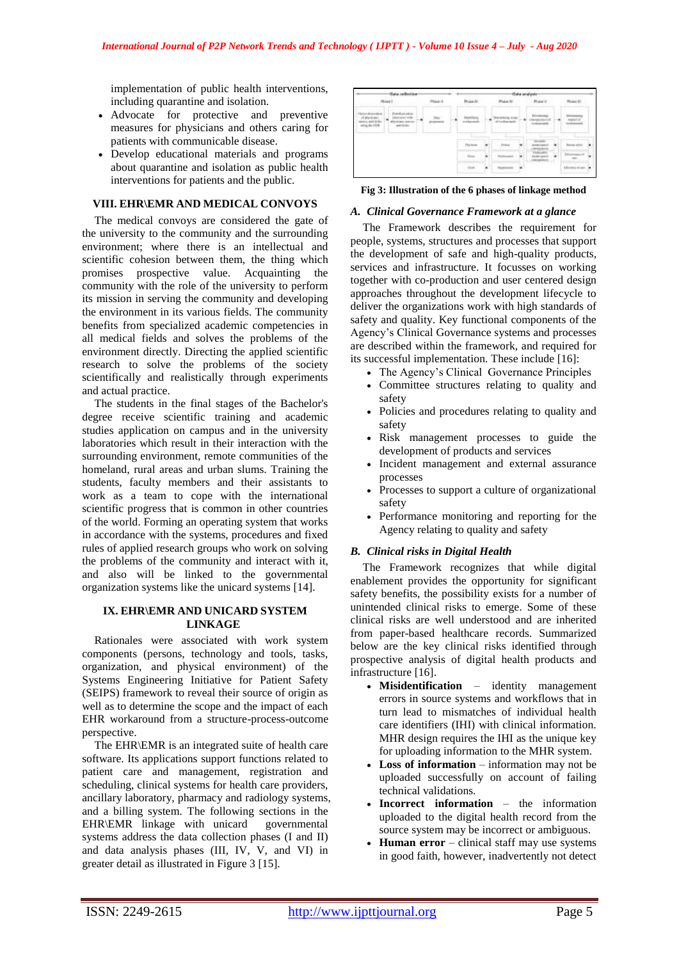implementation of public health interventions, including quarantine and isolation.

- Advocate for protective and preventive measures for physicians and others caring for patients with communicable disease.
- Develop educational materials and programs about quarantine and isolation as public health interventions for patients and the public.

#### **VIII. EHR\EMR AND MEDICAL CONVOYS**

The medical convoys are considered the gate of the university to the community and the surrounding environment; where there is an intellectual and scientific cohesion between them, the thing which promises prospective value. Acquainting the community with the role of the university to perform its mission in serving the community and developing the environment in its various fields. The community benefits from specialized academic competencies in all medical fields and solves the problems of the environment directly. Directing the applied scientific research to solve the problems of the society scientifically and realistically through experiments and actual practice.

The students in the final stages of the Bachelor's degree receive scientific training and academic studies application on campus and in the university laboratories which result in their interaction with the surrounding environment, remote communities of the homeland, rural areas and urban slums. Training the students, faculty members and their assistants to work as a team to cope with the international scientific progress that is common in other countries of the world. Forming an operating system that works in accordance with the systems, procedures and fixed rules of applied research groups who work on solving the problems of the community and interact with it, and also will be linked to the governmental organization systems like the unicard systems [14].

## **IX. EHR\EMR AND UNICARD SYSTEM LINKAGE**

Rationales were associated with work system components (persons, technology and tools, tasks, organization, and physical environment) of the Systems Engineering Initiative for Patient Safety (SEIPS) framework to reveal their source of origin as well as to determine the scope and the impact of each EHR workaround from a structure-process-outcome perspective.

The EHR\EMR is an integrated suite of health care software. Its applications support functions related to patient care and management, registration and scheduling, clinical systems for health care providers, ancillary laboratory, pharmacy and radiology systems, and a billing system. The following sections in the EHR\EMR linkage with unicard governmental systems address the data collection phases (I and II) and data analysis phases (III, IV, V, and VI) in greater detail as illustrated in Figure 3 [15].

|                     |                 |                                 |   |  | ÷ |  |  |
|---------------------|-----------------|---------------------------------|---|--|---|--|--|
|                     |                 |                                 |   |  |   |  |  |
|                     | <b>PITTINGS</b> | <b>TAX STEE</b><br>Intelligence |   |  |   |  |  |
| <b>The Contract</b> |                 |                                 |   |  |   |  |  |
|                     |                 |                                 | ٠ |  |   |  |  |
|                     |                 |                                 |   |  |   |  |  |

**Fig 3: Illustration of the 6 phases of linkage method**

#### *A. Clinical Governance Framework at a glance*

The Framework describes the requirement for people, systems, structures and processes that support the development of safe and high-quality products, services and infrastructure. It focusses on working together with co-production and user centered design approaches throughout the development lifecycle to deliver the organizations work with high standards of safety and quality. Key functional components of the Agency's Clinical Governance systems and processes are described within the framework, and required for its successful implementation. These include [16]:

- The Agency's Clinical Governance Principles
- Committee structures relating to quality and safety
- Policies and procedures relating to quality and safety
- Risk management processes to guide the development of products and services
- Incident management and external assurance processes
- Processes to support a culture of organizational safety
- Performance monitoring and reporting for the Agency relating to quality and safety

## *B. Clinical risks in Digital Health*

The Framework recognizes that while digital enablement provides the opportunity for significant safety benefits, the possibility exists for a number of unintended clinical risks to emerge. Some of these clinical risks are well understood and are inherited from paper-based healthcare records. Summarized below are the key clinical risks identified through prospective analysis of digital health products and infrastructure [16].

- **Misidentification** identity management errors in source systems and workflows that in turn lead to mismatches of individual health care identifiers (IHI) with clinical information. MHR design requires the IHI as the unique key for uploading information to the MHR system.
- **Loss of information** information may not be uploaded successfully on account of failing technical validations.
- **Incorrect information** the information uploaded to the digital health record from the source system may be incorrect or ambiguous.
- **Human error** clinical staff may use systems in good faith, however, inadvertently not detect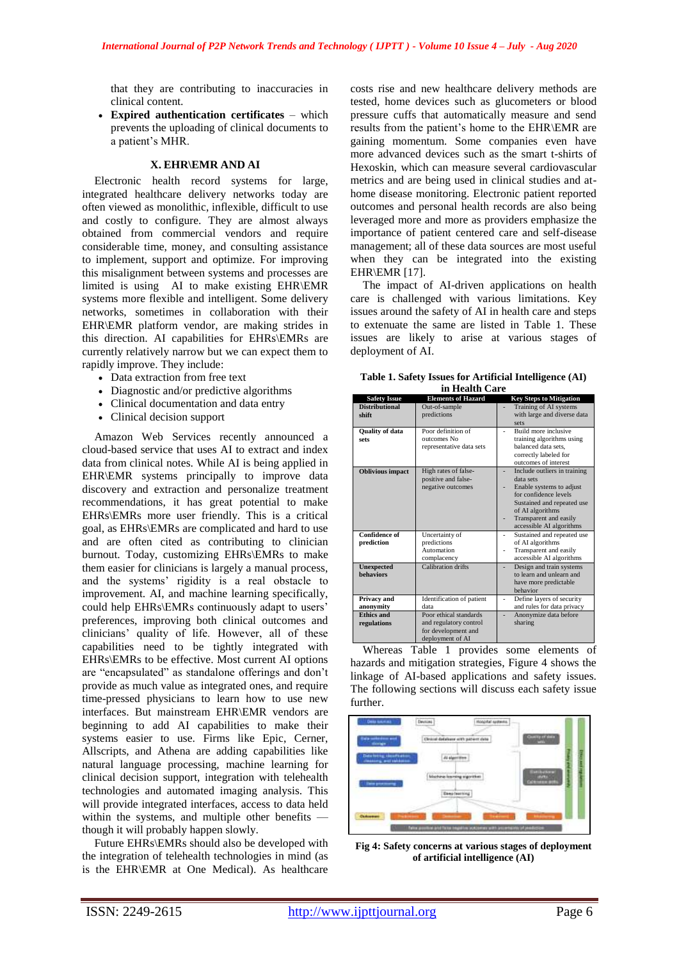that they are contributing to inaccuracies in clinical content.

 **Expired authentication certificates** – which prevents the uploading of clinical documents to a patient's MHR.

## **X. EHR\EMR AND AI**

Electronic health record systems for large, integrated healthcare delivery networks today are often viewed as monolithic, inflexible, difficult to use and costly to configure. They are almost always obtained from commercial vendors and require considerable time, money, and consulting assistance to implement, support and optimize. For improving this misalignment between systems and processes are limited is using AI to make existing EHR\EMR systems more flexible and intelligent. Some delivery networks, sometimes in collaboration with their EHR\EMR platform vendor, are making strides in this direction. AI capabilities for EHRs\EMRs are currently relatively narrow but we can expect them to rapidly improve. They include:

- Data extraction from free text
- Diagnostic and/or predictive algorithms
- Clinical documentation and data entry
- Clinical decision support

Amazon Web Services recently announced a [cloud-based service](https://www.computerworld.com/article/3324044/healthcare-it/amazon-launches-patient-data-mining-service-to-assist-docs.html) that uses AI to extract and index data from clinical notes. While AI is being applied in EHR\EMR systems principally to improve data discovery and extraction and personalize treatment recommendations, it has great potential to make EHRs\EMRs more user friendly. This is a critical goal, as EHRs\EMRs are complicated and hard to use and are often cited as contributing to clinician burnout. Today, customizing EHRs\EMRs to make them easier for clinicians is largely a manual process, and the systems' rigidity is a real obstacle to improvement. AI, and machine learning specifically, could help EHRs\EMRs continuously adapt to users' preferences, improving both clinical outcomes and clinicians' quality of life. However, all of these capabilities need to be tightly integrated with EHRs\EMRs to be effective. Most current AI options are "encapsulated" as standalone offerings and don't provide as much value as integrated ones, and require time-pressed physicians to learn how to use new interfaces. But mainstream EHR\EMR vendors are beginning to add AI capabilities to make their systems easier to use. Firms like Epic, Cerner, Allscripts, and Athena are adding capabilities like natural language processing, machine learning for clinical decision support, integration with telehealth technologies and automated imaging analysis. This will provide integrated interfaces, access to data held within the systems, and multiple other benefits though it will probably happen slowly.

Future EHRs\EMRs should also be developed with the integration of telehealth technologies in mind (as is the EHR\EMR at One Medical). As healthcare costs rise and new healthcare delivery methods are tested, home devices such as glucometers or blood pressure cuffs that automatically measure and send results from the patient's home to the EHR\EMR are gaining momentum. Some companies even have more advanced devices such as the smart t-shirts of [Hexoskin,](https://www.hexoskin.com/) which can measure several cardiovascular metrics and are being used in clinical studies and athome disease monitoring. Electronic patient reported outcomes and personal health records are also being leveraged more and more as providers emphasize the importance of patient centered care and self-disease management; all of these data sources are most useful when they can be integrated into the existing EHR\EMR [17].

The impact of AI-driven applications on health care is challenged with various limitations. Key issues around the safety of AI in health care and steps to extenuate the same are listed in Table 1. These issues are likely to arise at various stages of deployment of AI.

| Table 1. Safety Issues for Artificial Intelligence (AI) |  |
|---------------------------------------------------------|--|
| in Health Care                                          |  |

| <b>Safety Issue</b>     | <b>Elements of Hazard</b> | <b>Key Steps to Mitigation</b>             |
|-------------------------|---------------------------|--------------------------------------------|
| <b>Distributional</b>   | Out-of-sample             | Training of AI systems                     |
| shift                   | predictions               | with large and diverse data                |
|                         |                           | sets                                       |
| <b>Quality of data</b>  | Poor definition of        | Build more inclusive                       |
| sets                    | outcomes No               | training algorithms using                  |
|                         | representative data sets  | balanced data sets.                        |
|                         |                           | correctly labeled for                      |
|                         |                           | outcomes of interest                       |
| <b>Oblivious</b> impact | High rates of false-      | Include outliers in training               |
|                         | positive and false-       | data sets                                  |
|                         | negative outcomes         | Enable systems to adjust                   |
|                         |                           | for confidence levels                      |
|                         |                           | Sustained and repeated use                 |
|                         |                           | of AI algorithms<br>Transparent and easily |
|                         |                           | accessible AI algorithms                   |
| <b>Confidence of</b>    | Uncertainty of            | Sustained and repeated use                 |
| prediction              | predictions               | of AI algorithms                           |
|                         | Automation                | Transparent and easily                     |
|                         | complacency               | accessible AI algorithms                   |
| <b>Unexpected</b>       | Calibration drifts        | Design and train systems                   |
| <b>behaviors</b>        |                           | to learn and unlearn and                   |
|                         |                           | have more predictable                      |
|                         |                           | behavior                                   |
| Privacy and             | Identification of patient | Define layers of security                  |
| anonymity               | data                      | and rules for data privacy                 |
| <b>Ethics and</b>       | Poor ethical standards    | Anonymize data before                      |
| regulations             | and regulatory control    | sharing                                    |
|                         | for development and       |                                            |
|                         | deployment of AI          |                                            |

Whereas Table 1 provides some elements of hazards and mitigation strategies, Figure 4 shows the linkage of AI-based applications and safety issues. The following sections will discuss each safety issue further.



**Fig 4: Safety concerns at various stages of deployment of artificial intelligence (AI)**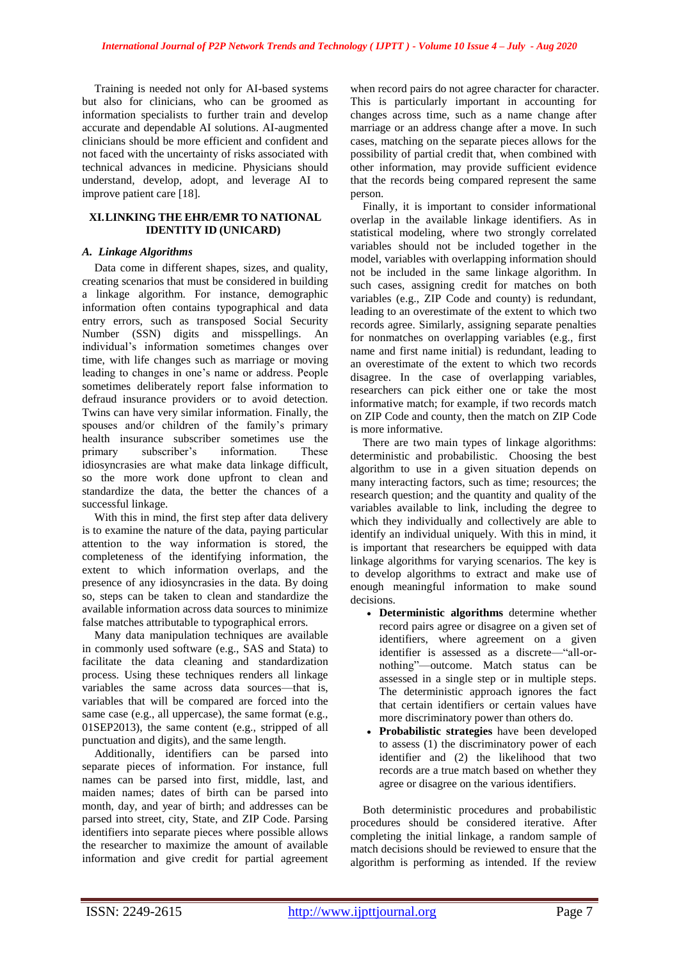Training is needed not only for AI-based systems but also for clinicians, who can be groomed as information specialists to further train and develop accurate and dependable AI solutions. AI-augmented clinicians should be more efficient and confident and not faced with the uncertainty of risks associated with technical advances in medicine. Physicians should understand, develop, adopt, and leverage AI to improve patient care [18].

#### **XI.LINKING THE EHR/EMR TO NATIONAL IDENTITY ID (UNICARD)**

## *A. Linkage Algorithms*

Data come in different shapes, sizes, and quality, creating scenarios that must be considered in building a linkage algorithm. For instance, demographic information often contains typographical and data entry errors, such as transposed Social Security Number (SSN) digits and misspellings. An individual's information sometimes changes over time, with life changes such as marriage or moving leading to changes in one's name or address. People sometimes deliberately report false information to defraud insurance providers or to avoid detection. Twins can have very similar information. Finally, the spouses and/or children of the family's primary health insurance subscriber sometimes use the primary subscriber's information. These idiosyncrasies are what make data linkage difficult, so the more work done upfront to clean and standardize the data, the better the chances of a successful linkage.

With this in mind, the first step after data delivery is to examine the nature of the data, paying particular attention to the way information is stored, the completeness of the identifying information, the extent to which information overlaps, and the presence of any idiosyncrasies in the data. By doing so, steps can be taken to clean and standardize the available information across data sources to minimize false matches attributable to typographical errors.

Many data manipulation techniques are available in commonly used software (e.g., SAS and Stata) to facilitate the data cleaning and standardization process. Using these techniques renders all linkage variables the same across data sources—that is, variables that will be compared are forced into the same case (e.g., all uppercase), the same format (e.g., 01SEP2013), the same content (e.g., stripped of all punctuation and digits), and the same length.

Additionally, identifiers can be parsed into separate pieces of information. For instance, full names can be parsed into first, middle, last, and maiden names; dates of birth can be parsed into month, day, and year of birth; and addresses can be parsed into street, city, State, and ZIP Code. Parsing identifiers into separate pieces where possible allows the researcher to maximize the amount of available information and give credit for partial agreement

when record pairs do not agree character for character. This is particularly important in accounting for changes across time, such as a name change after marriage or an address change after a move. In such cases, matching on the separate pieces allows for the possibility of partial credit that, when combined with other information, may provide sufficient evidence that the records being compared represent the same person.

Finally, it is important to consider informational overlap in the available linkage identifiers. As in statistical modeling, where two strongly correlated variables should not be included together in the model, variables with overlapping information should not be included in the same linkage algorithm. In such cases, assigning credit for matches on both variables (e.g., ZIP Code and county) is redundant, leading to an overestimate of the extent to which two records agree. Similarly, assigning separate penalties for nonmatches on overlapping variables (e.g., first name and first name initial) is redundant, leading to an overestimate of the extent to which two records disagree. In the case of overlapping variables, researchers can pick either one or take the most informative match; for example, if two records match on ZIP Code and county, then the match on ZIP Code is more informative.

There are two main types of linkage algorithms: deterministic and probabilistic. Choosing the best algorithm to use in a given situation depends on many interacting factors, such as time; resources; the research question; and the quantity and quality of the variables available to link, including the degree to which they individually and collectively are able to identify an individual uniquely. With this in mind, it is important that researchers be equipped with data linkage algorithms for varying scenarios. The key is to develop algorithms to extract and make use of enough meaningful information to make sound decisions.

- **Deterministic algorithms** determine whether record pairs agree or disagree on a given set of identifiers, where agreement on a given identifier is assessed as a discrete—"all-ornothing"—outcome. Match status can be assessed in a single step or in multiple steps. The deterministic approach ignores the fact that certain identifiers or certain values have more discriminatory power than others do.
- **Probabilistic strategies** have been developed to assess (1) the discriminatory power of each identifier and (2) the likelihood that two records are a true match based on whether they agree or disagree on the various identifiers.

Both deterministic procedures and probabilistic procedures should be considered iterative. After completing the initial linkage, a random sample of match decisions should be reviewed to ensure that the algorithm is performing as intended. If the review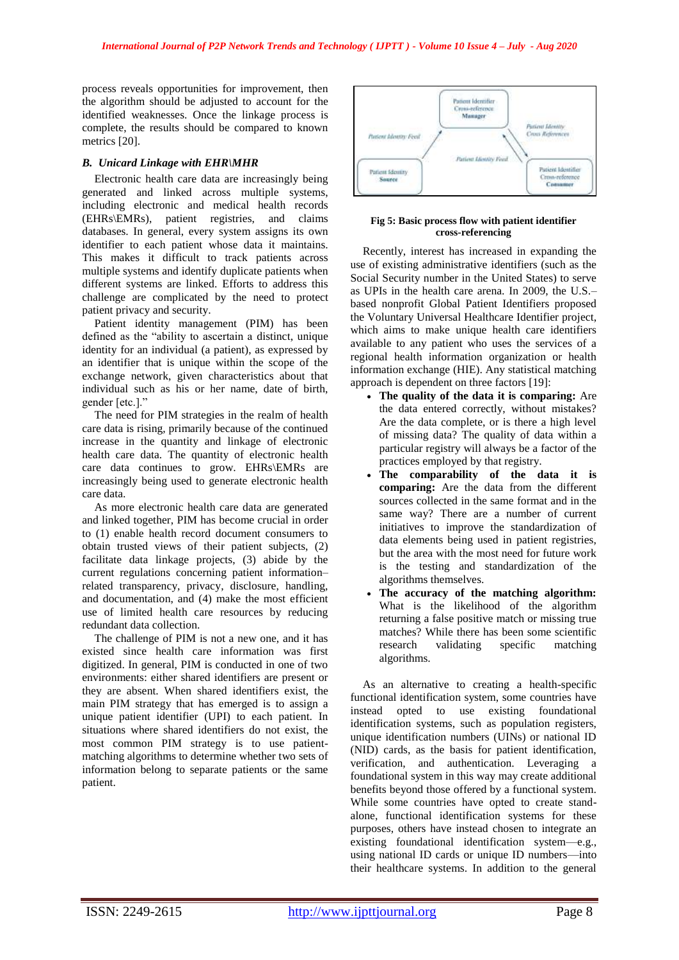process reveals opportunities for improvement, then the algorithm should be adjusted to account for the identified weaknesses. Once the linkage process is complete, the results should be compared to known metrics [20].

# *B. Unicard Linkage with EHR\MHR*

Electronic health care data are increasingly being generated and linked across multiple systems, including electronic and medical health records (EHRs\EMRs), patient registries, and claims databases. In general, every system assigns its own identifier to each patient whose data it maintains. This makes it difficult to track patients across multiple systems and identify duplicate patients when different systems are linked. Efforts to address this challenge are complicated by the need to protect patient privacy and security.

Patient identity management (PIM) has been defined as the "ability to ascertain a distinct, unique identity for an individual (a patient), as expressed by an identifier that is unique within the scope of the exchange network, given characteristics about that individual such as his or her name, date of birth, gender [etc.]."

The need for PIM strategies in the realm of health care data is rising, primarily because of the continued increase in the quantity and linkage of electronic health care data. The quantity of electronic health care data continues to grow. EHRs\EMRs are increasingly being used to generate electronic health care data.

As more electronic health care data are generated and linked together, PIM has become crucial in order to (1) enable health record document consumers to obtain trusted views of their patient subjects, (2) facilitate data linkage projects, (3) abide by the current regulations concerning patient information– related transparency, privacy, disclosure, handling, and documentation, and (4) make the most efficient use of limited health care resources by reducing redundant data collection.

The challenge of PIM is not a new one, and it has existed since health care information was first digitized. In general, PIM is conducted in one of two environments: either shared identifiers are present or they are absent. When shared identifiers exist, the main PIM strategy that has emerged is to assign a unique patient identifier (UPI) to each patient. In situations where shared identifiers do not exist, the most common PIM strategy is to use patientmatching algorithms to determine whether two sets of information belong to separate patients or the same patient.



#### **Fig 5: Basic process flow with patient identifier cross-referencing**

Recently, interest has increased in expanding the use of existing administrative identifiers (such as the Social Security number in the United States) to serve as UPIs in the health care arena. In 2009, the U.S.– based nonprofit Global Patient Identifiers proposed the Voluntary Universal Healthcare Identifier project, which aims to make unique health care identifiers available to any patient who uses the services of a regional health information organization or health information exchange (HIE). Any statistical matching approach is dependent on three factors [19]:

- **The quality of the data it is comparing:** Are the data entered correctly, without mistakes? Are the data complete, or is there a high level of missing data? The quality of data within a particular registry will always be a factor of the practices employed by that registry.
- **The comparability of the data it is comparing:** Are the data from the different sources collected in the same format and in the same way? There are a number of current initiatives to improve the standardization of data elements being used in patient registries, but the area with the most need for future work is the testing and standardization of the algorithms themselves.
- **The accuracy of the matching algorithm:** What is the likelihood of the algorithm returning a false positive match or missing true matches? While there has been some scientific research validating specific matching algorithms.

As an alternative to creating a health-specific functional identification system, some countries have instead opted to use existing foundational identification systems, such as population registers, unique identification numbers (UINs) or national ID (NID) cards, as the basis for patient identification, verification, and authentication. Leveraging a foundational system in this way may create additional benefits beyond those offered by a functional system. While some countries have opted to create standalone, functional identification systems for these purposes, others have instead chosen to integrate an existing foundational identification system—e.g., using national ID cards or unique ID numbers—into their healthcare systems. In addition to the general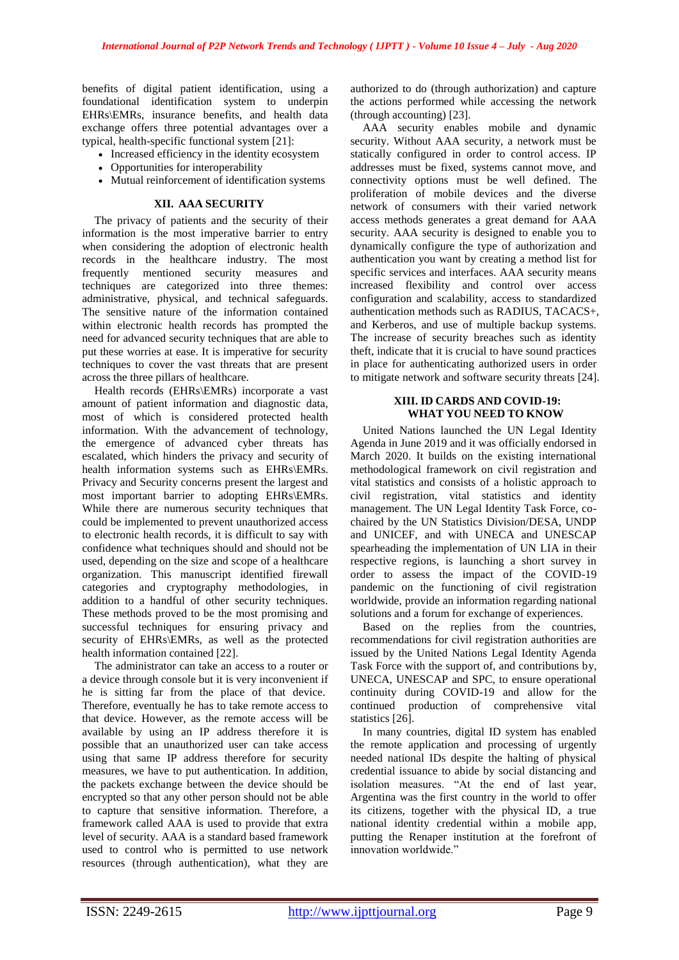benefits of digital patient identification, using a foundational identification system to underpin EHRs\EMRs, insurance benefits, and health data exchange offers three potential advantages over a typical, health-specific functional system [21]:

- Increased efficiency in the identity ecosystem
- Opportunities for interoperability
- Mutual reinforcement of identification systems

## **XII. AAA SECURITY**

The privacy of patients and the security of their information is the most imperative barrier to entry when considering the adoption of electronic health records in the healthcare industry. The most frequently mentioned security measures and techniques are categorized into three themes: administrative, physical, and technical safeguards. The sensitive nature of the information contained within electronic health records has prompted the need for advanced security techniques that are able to put these worries at ease. It is imperative for security techniques to cover the vast threats that are present across the three pillars of healthcare.

Health records (EHRs\EMRs) incorporate a vast amount of patient information and diagnostic data, most of which is considered protected health information. With the advancement of technology, the emergence of advanced cyber threats has escalated, which hinders the privacy and security of health information systems such as EHRs\EMRs. Privacy and Security concerns present the largest and most important barrier to adopting EHRs\EMRs. While there are numerous security techniques that could be implemented to prevent unauthorized access to electronic health records, it is difficult to say with confidence what techniques should and should not be used, depending on the size and scope of a healthcare organization. This manuscript identified firewall categories and cryptography methodologies, in addition to a handful of other security techniques. These methods proved to be the most promising and successful techniques for ensuring privacy and security of EHRs\EMRs, as well as the protected health information contained [22].

The administrator can take an access to a router or a device through console but it is very inconvenient if he is sitting far from the place of that device. Therefore, eventually he has to take remote access to that device. However, as the remote access will be available by using an IP address therefore it is possible that an unauthorized user can take access using that same IP address therefore for security measures, we have to put authentication. In addition, the packets exchange between the device should be encrypted so that any other person should not be able to capture that sensitive information. Therefore, a framework called AAA is used to provide that extra level of security. AAA is a standard based framework used to control who is permitted to use network resources (through authentication), what they are

authorized to do (through authorization) and capture the actions performed while accessing the network (through accounting) [23].

AAA security enables mobile and dynamic security. Without AAA security, a network must be statically configured in order to control access. IP addresses must be fixed, systems cannot move, and connectivity options must be well defined. The proliferation of mobile devices and the diverse network of consumers with their varied network access methods generates a great demand for AAA security. AAA security is designed to enable you to dynamically configure the type of authorization and authentication you want by creating a method list for specific services and interfaces. AAA security means increased flexibility and control over access configuration and scalability, access to standardized authentication methods such as RADIUS, TACACS+, and Kerberos, and use of multiple backup systems. The increase of security breaches such as identity theft, indicate that it is crucial to have sound practices in place for authenticating authorized users in order to mitigate network and software security threats [24].

# **XIII. ID CARDS AND COVID-19: WHAT YOU NEED TO KNOW**

United Nations launched the UN Legal Identity Agenda in June 2019 and it was officially endorsed in March 2020. It builds on the existing international methodological framework on civil registration and vital statistics and consists of a holistic approach to civil registration, vital statistics and identity management. The UN Legal Identity Task Force, cochaired by the UN Statistics Division/DESA, UNDP and UNICEF, and with UNECA and UNESCAP spearheading the implementation of UN LIA in their respective regions, is launching a short survey in order to assess the impact of the COVID-19 pandemic on the functioning of civil registration worldwide, provide an information regarding national solutions and a forum for exchange of experiences.

Based on the replies from the countries, recommendations for civil registration authorities are issued by the United Nations Legal Identity Agenda Task Force with the support of, and contributions by, UNECA, UNESCAP and SPC, to ensure operational continuity during COVID-19 and allow for the continued production of comprehensive vital statistics [26].

In many countries, digital ID system has enabled the remote application and processing of urgently needed national IDs despite the halting of physical credential issuance to abide by social distancing and isolation measures. "At the end of last year, Argentina was the first country in the world to offer its citizens, together with the physical ID, a true national identity credential within a mobile app, putting the Renaper institution at the forefront of innovation worldwide."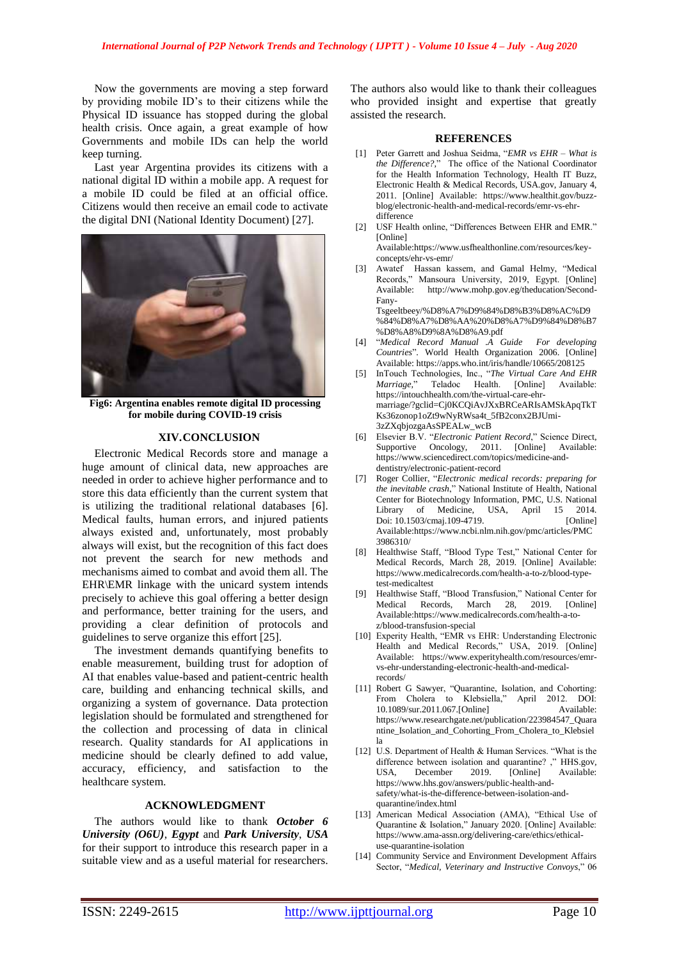Now the governments are moving a step forward by providing mobile ID's to their citizens while the Physical ID issuance has stopped during the global health crisis. Once again, a great example of how Governments and mobile IDs can help the world keep turning.

Last year Argentina provides its citizens with a national digital ID within a mobile app. A request for a mobile ID could be filed at an official office. Citizens would then receive an email code to activate the digital DNI (National Identity Document) [27].



**Fig6: Argentina enables remote digital ID processing for mobile during COVID-19 crisis**

#### **XIV.CONCLUSION**

Electronic Medical Records store and manage a huge amount of clinical data, new approaches are needed in order to achieve higher performance and to store this data efficiently than the current system that is utilizing the traditional relational databases [6]. Medical faults, human errors, and injured patients always existed and, unfortunately, most probably always will exist, but the recognition of this fact does not prevent the search for new methods and mechanisms aimed to combat and avoid them all. The EHR\EMR linkage with the unicard system intends precisely to achieve this goal offering a better design and performance, better training for the users, and providing a clear definition of protocols and guidelines to serve organize this effort [25].

The investment demands quantifying benefits to enable measurement, building trust for adoption of AI that enables value-based and patient-centric health care, building and enhancing technical skills, and organizing a system of governance. Data protection legislation should be formulated and strengthened for the collection and processing of data in clinical research. Quality standards for AI applications in medicine should be clearly defined to add value, accuracy, efficiency, and satisfaction to the healthcare system.

#### **ACKNOWLEDGMENT**

The authors would like to thank *October 6 University (O6U)*, *Egypt* and *Park University*, *USA* for their support to introduce this research paper in a suitable view and as a useful material for researchers. The authors also would like to thank their colleagues who provided insight and expertise that greatly assisted the research.

#### **REFERENCES**

- [1] Peter Garrett and Joshua Seidma, "*EMR vs EHR – What is the Difference?,*" The office of the National Coordinator for the Health Information Technology, [Health IT Buzz,](https://www.healthit.gov/buzz-blog)  [Electronic Health & Medical Records,](https://www.healthit.gov/buzz-blog/category/electronic-health-and-medical-records) USA.gov, January 4, 2011. [Online] Available: https://www.healthit.gov/buzzblog/electronic-health-and-medical-records/emr-vs-ehrdifference
- [2] USF Health online, "Differences Between EHR and EMR." [Online]

Available:https://www.usfhealthonline.com/resources/keyconcepts/ehr-vs-emr/

[3] Awatef Hassan kassem, and Gamal Helmy, "Medical Records," Mansoura University, 2019, Egypt. [Online] Available: http://www.mohp.gov.eg/theducation/Second-Fany-Tsgeeltbeey/%D8%A7%D9%84%D8%B3%D8%AC%D9 %84%D8%A7%D8%AA%20%D8%A7%D9%84%D8%B7

%D8%A8%D9%8A%D8%A9.pdf [4] "*Medical Record Manual .A Guide For developing* 

- *Countries*". World Health Organization 2006. [Online] Available: https://apps.who.int/iris/handle/10665/208125
- InTouch Technologies, Inc., "The Virtual Care And EHR *Marriage,*" Teladoc Health. [Online] Available: https://intouchhealth.com/the-virtual-care-ehrmarriage/?gclid=Cj0KCQiAvJXxBRCeARIsAMSkApqTkT Ks36zonop1oZt9wNyRWsa4t\_5fB2conx2BJUmi-3zZXqbjozgaAsSPEALw\_wcB
- [6] Elsevier B.V. "*Electronic Patient Record*," Science Direct, [Supportive Oncology, 2011.](https://www.sciencedirect.com/science/article/pii/B978143771015100031X) [Online] Available: https://www.sciencedirect.com/topics/medicine-anddentistry/electronic-patient-record
- [7] [Roger Collier,](https://www.ncbi.nlm.nih.gov/pubmed/?term=Collier%20R%5BAuthor%5D&cauthor=true&cauthor_uid=24664654) "*Electronic medical records: preparing for the inevitable crash*," National Institute of Health, [National](https://www.ncbi.nlm.nih.gov/)  [Center for Biotechnology Information,](https://www.ncbi.nlm.nih.gov/) PMC, [U.S. National](https://www.nlm.nih.gov/)  [Library of Medicine,](https://www.nlm.nih.gov/) USA, April 15 2014. Doi: 10.1503/cmaj.109-4719. Available:https://www.ncbi.nlm.nih.gov/pmc/articles/PMC 3986310/
- [8] [Healthwise Staff,](https://www.medicalrecords.com/support-abouthw/en-us#content-team) "Blood Type Test," National Center for Medical Records, March 28, 2019. [Online] Available: https://www.medicalrecords.com/health-a-to-z/blood-typetest-medicaltest
- [9] [Healthwise Staff,](https://www.medicalrecords.com/support-abouthw/en-us#content-team) "Blood Transfusion," National Center for Medical Records, March 28, 2019. [Online] Available:https://www.medicalrecords.com/health-a-toz/blood-transfusion-special
- [10] Experity Health, "EMR vs EHR: Understanding Electronic Health and Medical Records," USA, 2019. [Online] Available: https://www.experityhealth.com/resources/emrvs-ehr-understanding-electronic-health-and-medicalrecords/
- [11] [Robert G Sawyer,](https://www.researchgate.net/profile/Robert_Sawyer2) "Quarantine, Isolation, and Cohorting: From Cholera to Klebsiella," April 2012. DOI:<br>10.1089/sur 2011.067.[Online] Available: [10.1089/sur.2011.067.\[](https://www.researchgate.net/deref/http%3A%2F%2Fdx.doi.org%2F10.1089%2Fsur.2011.067)Online] https://www.researchgate.net/publication/223984547\_Quara ntine\_Isolation\_and\_Cohorting\_From\_Cholera\_to\_Klebsiel la
- [12] U.S. Department of Health & Human Services. "What is the difference between isolation and quarantine? ," [HHS.gov,](https://www.hhs.gov/)  USA, December 2019. [Online] Available: https://www.hhs.gov/answers/public-health-andsafety/what-is-the-difference-between-isolation-andquarantine/index.html
- [13] American Medical Association (AMA), "Ethical Use of Quarantine & Isolation," January 2020. [Online] Available: https://www.ama-assn.org/delivering-care/ethics/ethicaluse-quarantine-isolation
- [14] Community Service and Environment Development Affairs Sector, "*[Medical, Veterinary and Instructive Convoys](http://env.mans.edu.eg/en/activities-research-en/medical-convoys-en/about-medical-convoys-en)*," 06